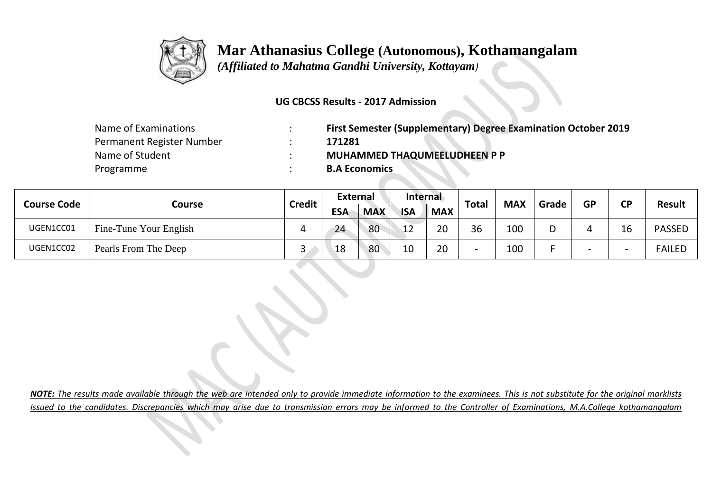

## **Mar Athanasius College (Autonomous), Kothamangalam**

 *(Affiliated to Mahatma Gandhi University, Kottayam)*

### **UG CBCSS Results - 2017 Admission**

| Name of Examinations      | <b>First Semester (Supplementary) Degree Examination October 2019</b> |
|---------------------------|-----------------------------------------------------------------------|
| Permanent Register Number | 171281                                                                |
| Name of Student           | <b>MUHAMMED THAQUMEELUDHEEN P P</b>                                   |
| Programme                 | <b>B.A Economics</b>                                                  |

| <b>Course Code</b> | Course                 | <b>Credit</b> | <b>External</b> |            | Internal      |            | <b>Total</b>             | <b>MAX</b> |       | <b>GP</b> | <b>CD</b> |               |
|--------------------|------------------------|---------------|-----------------|------------|---------------|------------|--------------------------|------------|-------|-----------|-----------|---------------|
|                    |                        |               | <b>ESA</b>      | <b>MAX</b> | <b>ISA</b>    | <b>MAX</b> |                          |            | Grade |           |           | <b>Result</b> |
| UGEN1CC01          | Fine-Tune Your English | 4             | 24              | 80         | 12            | 20         | 36                       | 100        |       |           | lb        | <b>PASSED</b> |
| UGEN1CC02          | Pearls From The Deep   | ت             | 18              | 80         | $1 \cap$<br>ᅭ | 20         | $\overline{\phantom{0}}$ | 100        |       |           |           | <b>FAILED</b> |

*NOTE: The results made available through the web are intended only to provide immediate information to the examinees. This is not substitute for the original marklists issued to the candidates. Discrepancies which may arise due to transmission errors may be informed to the Controller of Examinations, M.A.College kothamangalam*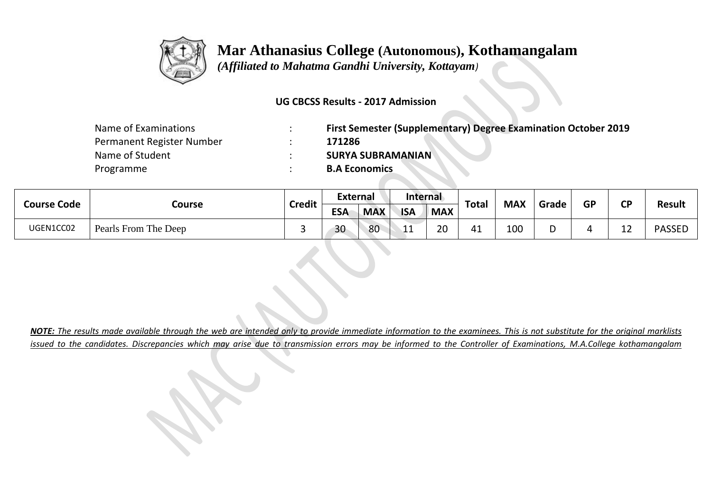

# **Mar Athanasius College (Autonomous), Kothamangalam**

 *(Affiliated to Mahatma Gandhi University, Kottayam)*

### **UG CBCSS Results - 2017 Admission**

| Name of Examinations      | First Semester (Supplementary) Degree Examination October 2019 |
|---------------------------|----------------------------------------------------------------|
| Permanent Register Number | 171286                                                         |
| Name of Student           | <b>SURYA SUBRAMANIAN</b>                                       |
| Programme                 | <b>B.A Economics</b>                                           |

| <b>Course Code</b> | Course               | <b>Credit</b> | <b>External</b> |            | Internal   |            | <b>Total</b> | <b>MAX</b> |       | <b>GP</b> | σD                  | Result        |
|--------------------|----------------------|---------------|-----------------|------------|------------|------------|--------------|------------|-------|-----------|---------------------|---------------|
|                    |                      |               | <b>ESA</b>      | <b>MAX</b> | <b>ISA</b> | <b>MAX</b> |              |            | Grade |           |                     |               |
| UGEN1CC02          | Pearls From The Deep |               | 30              | 80         | ᆂᆂ         | 20         | 41           | 100        |       |           | $\sim$ $\sim$<br>∸∸ | <b>PASSED</b> |

*NOTE: The results made available through the web are intended only to provide immediate information to the examinees. This is not substitute for the original marklists issued to the candidates. Discrepancies which may arise due to transmission errors may be informed to the Controller of Examinations, M.A.College kothamangalam*